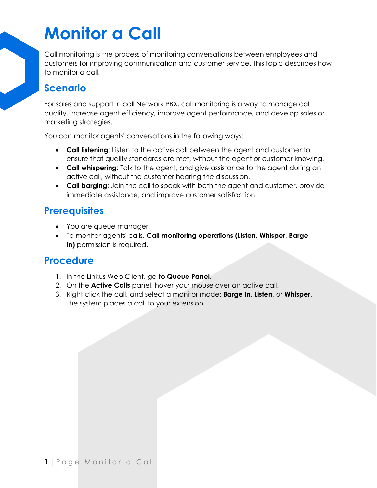# **Monitor a Call**

Call monitoring is the process of monitoring conversations between employees and customers for improving communication and customer service. This topic describes how to monitor a call.

### **Scenario**

For sales and support in call Network PBX, call monitoring is a way to manage call quality, increase agent efficiency, improve agent performance, and develop sales or marketing strategies.

You can monitor agents' conversations in the following ways:

- **Call listening**: Listen to the active call between the agent and customer to ensure that quality standards are met, without the agent or customer knowing.
- **Call whispering**: Talk to the agent, and give assistance to the agent during an active call, without the customer hearing the discussion.
- **Call barging**: Join the call to speak with both the agent and customer, provide immediate assistance, and improve customer satisfaction.

### **Prerequisites**

- You are queue manager.
- To monitor agents' calls, **Call monitoring operations (Listen, Whisper, Barge In)** permission is required.

#### **Procedure**

- 1. In the Linkus Web Client, go to **Queue Panel**.
- 2. On the **Active Calls** panel, hover your mouse over an active call.
- 3. Right click the call, and select a monitor mode: **Barge In**, **Listen**, or **Whisper**. The system places a call to your extension.